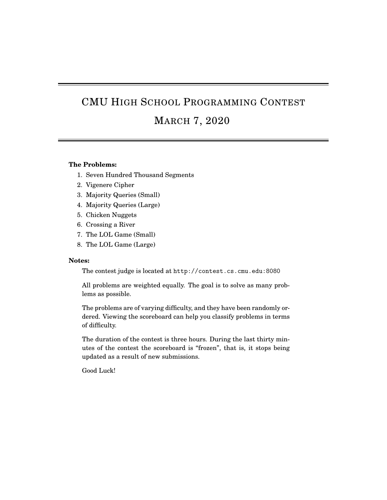# CMU HIGH SCHOOL PROGRAMMING CONTEST

### MARCH 7, 2020

#### **The Problems:**

- 1. Seven Hundred Thousand Segments
- 2. Vigenere Cipher
- 3. Majority Queries (Small)
- 4. Majority Queries (Large)
- 5. Chicken Nuggets
- 6. Crossing a River
- 7. The LOL Game (Small)
- 8. The LOL Game (Large)

#### **Notes:**

The contest judge is located at http://contest.cs.cmu.edu:8080

All problems are weighted equally. The goal is to solve as many problems as possible.

The problems are of varying difficulty, and they have been randomly ordered. Viewing the scoreboard can help you classify problems in terms of difficulty.

The duration of the contest is three hours. During the last thirty minutes of the contest the scoreboard is "frozen", that is, it stops being updated as a result of new submissions.

Good Luck!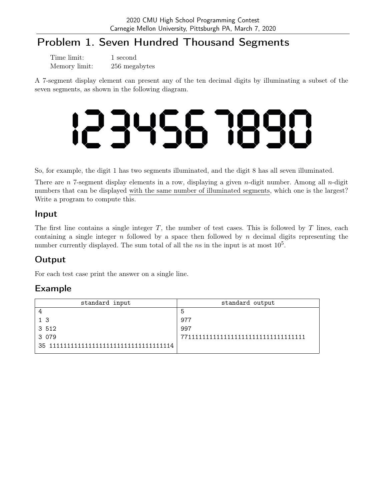# Problem 1. Seven Hundred Thousand Segments

| Time limit:   | 1 second      |
|---------------|---------------|
| Memory limit: | 256 megabytes |

A 7-segment display element can present any of the ten decimal digits by illuminating a subset of the seven segments, as shown in the following diagram.

So, for example, the digit 1 has two segments illuminated, and the digit 8 has all seven illuminated.

There are  $n$  7-segment display elements in a row, displaying a given  $n$ -digit number. Among all  $n$ -digit numbers that can be displayed with the same number of illuminated segments, which one is the largest? Write a program to compute this.

#### Input

The first line contains a single integer  $T$ , the number of test cases. This is followed by  $T$  lines, each containing a single integer n followed by a space then followed by n decimal digits representing the number currently displayed. The sum total of all the ns in the input is at most  $10<sup>5</sup>$ .

### **Output**

For each test case print the answer on a single line.

| standard input                          | standard output |
|-----------------------------------------|-----------------|
|                                         | 5               |
| 1 ੨                                     | 977             |
| 3 512                                   | 997             |
| 3 079                                   |                 |
| 35 111111111111111111111111111111111114 |                 |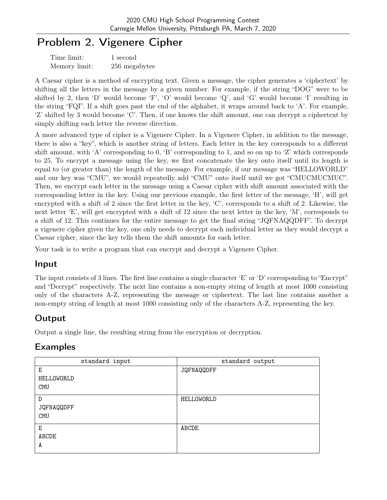# Problem 2. Vigenere Cipher

| Time limit:   | 1 second      |
|---------------|---------------|
| Memory limit: | 256 megabytes |

A Caesar cipher is a method of encrypting text. Given a message, the cipher generates a 'ciphertext' by shifting all the letters in the message by a given number. For example, if the string "DOG" were to be shifted by 2, then 'D' would become 'F', 'O' would become 'Q', and 'G' would become 'I' resulting in the string "FQI". If a shift goes past the end of the alphabet, it wraps around back to 'A'. For example, 'Z' shifted by 3 would become 'C'. Then, if one knows the shift amount, one can decrypt a ciphertext by simply shifting each letter the reverse direction.

A more advanced type of cipher is a Vigenere Cipher. In a Vigenere Cipher, in addition to the message, there is also a "key", which is another string of letters. Each letter in the key corresponds to a different shift amount, with 'A' corresponding to 0, 'B' corresponding to 1, and so on up to 'Z' which corresponds to 25. To encrypt a message using the key, we first concatenate the key onto itself until its length is equal to (or greater than) the length of the message. For example, if our message was "HELLOWORLD" and our key was "CMU", we would repeatedly add "CMU" onto itself until we got "CMUCMUCMUC". Then, we encrypt each letter in the message using a Caesar cipher with shift amount associated with the corresponding letter in the key. Using our previous example, the first letter of the message, 'H', will get encrypted with a shift of 2 since the first letter in the key, 'C', corresponds to a shift of 2. Likewise, the next letter 'E', will get encrypted with a shift of 12 since the next letter in the key, 'M', corresponds to a shift of 12. This continues for the entire message to get the final string "JQFNAQQDFF". To decrypt a vigenere cipher given the key, one only needs to decrypt each individual letter as they would decrypt a Caesar cipher, since the key tells them the shift amounts for each letter.

Your task is to write a program that can encrypt and decrypt a Vigenere Cipher.

#### Input

The input consists of 3 lines. The first line contains a single character 'E' or 'D' corresponding to "Encrypt" and "Decrypt" respectively. The next line contains a non-empty string of length at most 1000 consisting only of the characters A-Z, representing the message or ciphertext. The last line contains another a non-empty string of length at most 1000 consisting only of the characters A-Z, representing the key.

### Output

Output a single line, the resulting string from the encryption or decryption.

| standard input                | standard output |
|-------------------------------|-----------------|
| Е<br>HELLOWORLD<br><b>CMU</b> | JQFNAQQDFF      |
| D<br>JQFNAQQDFF<br><b>CMU</b> | HELLOWORLD      |
| E<br>ABCDE<br>A               | ABCDE           |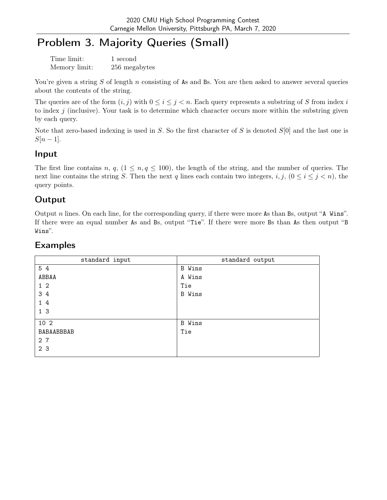# Problem 3. Majority Queries (Small)

| Time limit:   | 1 second      |
|---------------|---------------|
| Memory limit: | 256 megabytes |

You're given a string  $S$  of length  $n$  consisting of As and Bs. You are then asked to answer several queries about the contents of the string.

The queries are of the form  $(i, j)$  with  $0 \leq i \leq j < n$ . Each query represents a substring of S from index i to index  $j$  (inclusive). Your task is to determine which character occurs more within the substring given by each query.

Note that zero-based indexing is used in  $S$ . So the first character of  $S$  is denoted  $S[0]$  and the last one is  $S[n-1]$ .

#### Input

The first line contains n, q,  $(1 \le n, q \le 100)$ , the length of the string, and the number of queries. The next line contains the string S. Then the next q lines each contain two integers,  $i, j, (0 \le i \le j < n)$ , the query points.

### Output

Output  $n$  lines. On each line, for the corresponding query, if there were more As than Bs, output "A Wins". If there were an equal number As and Bs, output "Tie". If there were more Bs than As then output "B Wins".

| standard input | standard output |
|----------------|-----------------|
| 5 4            | <b>B</b> Wins   |
| ABBAA          | A Wins          |
| $1\quad2$      | Tie             |
| 3 4            | <b>B</b> Wins   |
| 1 4            |                 |
| 1 <sub>3</sub> |                 |
| 10 2           | <b>B</b> Wins   |
| BABAABBBAB     | Tie             |
| 2 7            |                 |
| 2 <sub>3</sub> |                 |
|                |                 |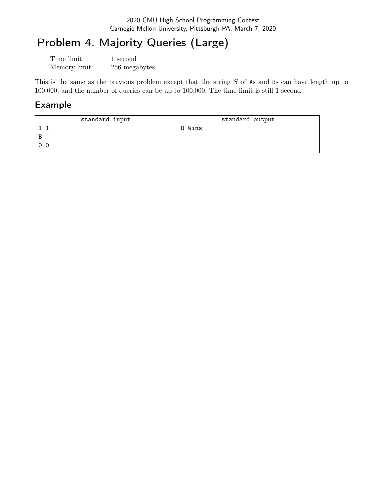# Problem 4. Majority Queries (Large)

| Time limit:   | 1 second      |
|---------------|---------------|
| Memory limit: | 256 megabytes |

This is the same as the previous problem except that the string S of As and Bs can have length up to 100,000, and the number of queries can be up to 100,000. The time limit is still 1 second.

| standard input | standard output |
|----------------|-----------------|
|                | B Wins          |
| B              |                 |
| 0 <sub>0</sub> |                 |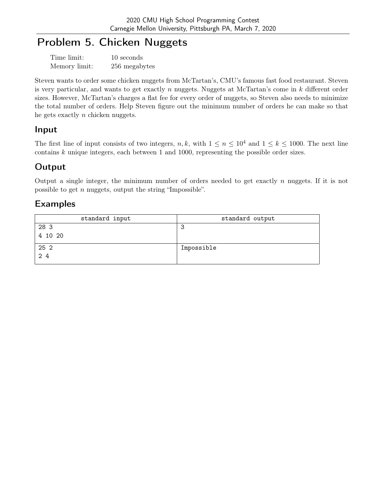# Problem 5. Chicken Nuggets

| Time limit:   | 10 seconds    |
|---------------|---------------|
| Memory limit: | 256 megabytes |

Steven wants to order some chicken nuggets from McTartan's, CMU's famous fast food restaurant. Steven is very particular, and wants to get exactly n nuggets. Nuggets at McTartan's come in  $k$  different order sizes. However, McTartan's charges a flat fee for every order of nuggets, so Steven also needs to minimize the total number of orders. Help Steven figure out the minimum number of orders he can make so that he gets exactly  $n$  chicken nuggets.

### Input

The first line of input consists of two integers, n, k, with  $1 \le n \le 10^4$  and  $1 \le k \le 1000$ . The next line contains  $k$  unique integers, each between 1 and 1000, representing the possible order sizes.

# **Output**

Output a single integer, the minimum number of orders needed to get exactly  $n$  nuggets. If it is not possible to get n nuggets, output the string "Impossible".

| standard input | standard output |
|----------------|-----------------|
| 28 3           | ت               |
| 4 10 20        |                 |
| 25 2           | Impossible      |
| 2.4            |                 |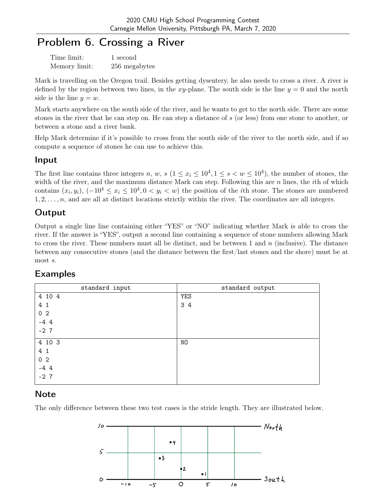# Problem 6. Crossing a River

| Time limit:   | 1 second      |
|---------------|---------------|
| Memory limit: | 256 megabytes |

Mark is travelling on the Oregon trail. Besides getting dysentery, he also needs to cross a river. A river is defined by the region between two lines, in the xy-plane. The south side is the line  $y = 0$  and the north side is the line  $y = w$ .

Mark starts anywhere on the south side of the river, and he wants to get to the north side. There are some stones in the river that he can step on. He can step a distance of s (or less) from one stone to another, or between a stone and a river bank.

Help Mark determine if it's possible to cross from the south side of the river to the north side, and if so compute a sequence of stones he can use to achieve this.

#### Input

The first line contains three integers n, w, s  $(1 \le x_i \le 10^4, 1 \le s < w \le 10^4)$ , the number of stones, the width of the river, and the maximum distance Mark can step. Following this are  $n$  lines, the *i*th of which contains  $(x_i, y_i)$ ,  $(-10^4 \le x_i \le 10^4, 0 < y_i < w)$  the position of the *i*th stone. The stones are numbered  $1, 2, \ldots, n$ , and are all at distinct locations strictly within the river. The coordinates are all integers.

### Output

Output a single line line containing either "YES" or "NO" indicating whether Mark is able to cross the river. If the answer is "YES", output a second line containing a sequence of stone numbers allowing Mark to cross the river. These numbers must all be distinct, and be between 1 and  $n$  (inclusive). The distance between any consecutive stones (and the distance between the first/last stones and the shore) must be at most s.

| standard input | standard output |
|----------------|-----------------|
| 4 10 4         | <b>YES</b>      |
| 4 1            | 3 4             |
| 0 <sub>2</sub> |                 |
| $-44$          |                 |
| $-2$ 7         |                 |
|                |                 |
| 4 10 3         | NO              |
| 4 1            |                 |
| 0 <sub>2</sub> |                 |
| $-44$          |                 |
| $-2$ 7         |                 |
|                |                 |

### Examples

### **Note**

The only difference between these two test cases is the stride length. They are illustrated below.

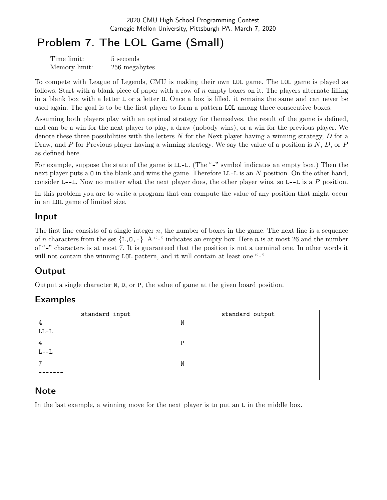# Problem 7. The LOL Game (Small)

| Time limit:   | 5 seconds     |
|---------------|---------------|
| Memory limit: | 256 megabytes |

To compete with League of Legends, CMU is making their own LOL game. The LOL game is played as follows. Start with a blank piece of paper with a row of  $n$  empty boxes on it. The players alternate filling in a blank box with a letter L or a letter O. Once a box is filled, it remains the same and can never be used again. The goal is to be the first player to form a pattern LOL among three consecutive boxes.

Assuming both players play with an optimal strategy for themselves, the result of the game is defined, and can be a win for the next player to play, a draw (nobody wins), or a win for the previous player. We denote these three possibilities with the letters N for the Next player having a winning strategy, D for a Draw, and P for Previous player having a winning strategy. We say the value of a position is  $N, D$ , or P as defined here.

For example, suppose the state of the game is LL-L. (The "-" symbol indicates an empty box.) Then the next player puts a 0 in the blank and wins the game. Therefore LL-L is an N position. On the other hand, consider L--L. Now no matter what the next player does, the other player wins, so L--L is a P position.

In this problem you are to write a program that can compute the value of any position that might occur in an LOL game of limited size.

### Input

The first line consists of a single integer  $n$ , the number of boxes in the game. The next line is a sequence of n characters from the set  $\{L, 0, -\}$ . A "-" indicates an empty box. Here n is at most 26 and the number of "-" characters is at most 7. It is guaranteed that the position is not a terminal one. In other words it will not contain the winning LOL pattern, and it will contain at least one "-".

# **Output**

Output a single character N, D, or P, the value of game at the given board position.

# Examples

| standard input      | standard output |
|---------------------|-----------------|
| 4                   | N               |
| ${\rm LL\text{-}L}$ |                 |
| 4                   | $\mathbf{P}$    |
| $L--L$              |                 |
| ⇁                   | N               |
|                     |                 |

### Note

In the last example, a winning move for the next player is to put an L in the middle box.